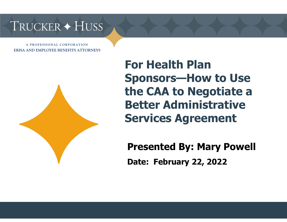**A PROFESSIONAL CORPORATION ERISA AND EMPLOYEE BENEFITS ATTORNEYS** 



**For Health Plan Sponsors—How to Use the CAA to Negotiate a Better Administrative Services Agreement**

**Presented By: Mary Powell Date: February 22, 2022**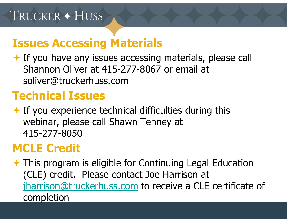#### **Issues Accessing Materials**

◆ If you have any issues accessing materials, please call Shannon Oliver at 415-277-8067 or email at soliver@truckerhuss.com

# **Technical Issues**

 $\leftarrow$  If you experience technical difficulties during this webinar, please call Shawn Tenney at 415-277-8050

# **MCLE Credit**

**★ This program is eligible for Continuing Legal Education** (CLE) credit. Please contact Joe Harrison at jharrison@truckerhuss.com to receive a CLE certificate of completion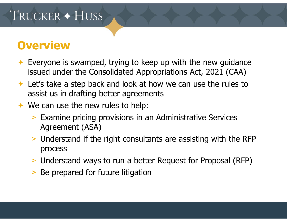#### **Overview**

- $\rightarrow$  Everyone is swamped, trying to keep up with the new guidance issued under the Consolidated Appropriations Act, 2021 (CAA)
- Let's take a step back and look at how we can use the rules to assist us in drafting better agreements
- ◆ We can use the new rules to help:
	- > Examine pricing provisions in an Administrative Services Agreement (ASA)
	- > Understand if the right consultants are assisting with the RFP process
	- > Understand ways to run a better Request for Proposal (RFP)
	- > Be prepared for future litigation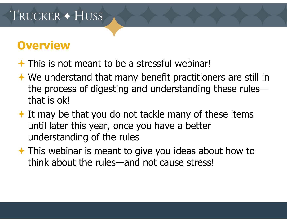#### **Overview**

- $\rightarrow$  This is not meant to be a stressful webinar!
- ◆ We understand that many benefit practitioners are still in the process of digesting and understanding these rules that is ok!
- $\rightarrow$  It may be that you do not tackle many of these items until later this year, once you have a better understanding of the rules
- **★ This webinar is meant to give you ideas about how to** think about the rules—and not cause stress!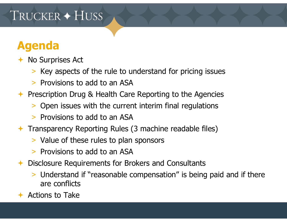#### **Agenda**

- **← No Surprises Act** 
	- > Key aspects of the rule to understand for pricing issues
	- > Provisions to add to an ASA
- ← Prescription Drug & Health Care Reporting to the Agencies
	- > Open issues with the current interim final regulations
	- > Provisions to add to an ASA
- Transparency Reporting Rules (3 machine readable files)
	- > Value of these rules to plan sponsors
	- > Provisions to add to an ASA
- $\bigstar$  Disclosure Requirements for Brokers and Consultants
	- > Understand if "reasonable compensation" is being paid and if there are conflicts
- $\rightarrow$  Actions to Take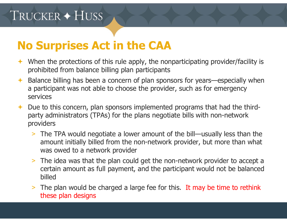#### **No Surprises Act in the CAA**

- When the protections of this rule apply, the nonparticipating provider/facility is prohibited from balance billing plan participants
- $\bigstar$  Balance billing has been a concern of plan sponsors for years—especially when a participant was not able to choose the provider, such as for emergency services
- ← Due to this concern, plan sponsors implemented programs that had the thirdparty administrators (TPAs) for the plans negotiate bills with non-network providers
	- > The TPA would negotiate a lower amount of the bill—usually less than the amount initially billed from the non-network provider, but more than what was owed to a network provider
	- > The idea was that the plan could get the non-network provider to accept a certain amount as full payment, and the participant would not be balanced billed
	- > The plan would be charged a large fee for this. It may be time to rethink these plan designs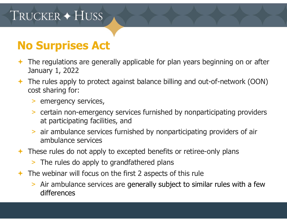- The regulations are generally applicable for plan years beginning on or after January 1, 2022
- The rules apply to protect against balance billing and out-of-network (OON) cost sharing for:
	- > emergency services,
	- > certain non-emergency services furnished by nonparticipating providers at participating facilities, and
	- > air ambulance services furnished by nonparticipating providers of air ambulance services
- **★ These rules do not apply to excepted benefits or retiree-only plans** 
	- > The rules do apply to grandfathered plans
- $\rightarrow$  The webinar will focus on the first 2 aspects of this rule
	- > Air ambulance services are generally subject to similar rules with a few differences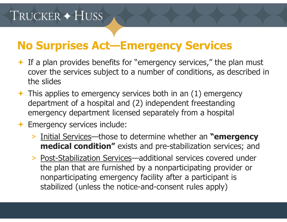#### **No Surprises Act—Emergency Services**

- $\rightarrow$  If a plan provides benefits for "emergency services," the plan must cover the services subject to a number of conditions, as described in the slides
- $\rightarrow$  This applies to emergency services both in an (1) emergency department of a hospital and (2) independent freestanding emergency department licensed separately from a hospital
- ← Emergency services include:
	- > Initial Services—those to determine whether an **"emergency medical condition"** exists and pre-stabilization services; and
	- > Post-Stabilization Services—additional services covered under the plan that are furnished by a nonparticipating provider or nonparticipating emergency facility after a participant is stabilized (unless the notice-and-consent rules apply)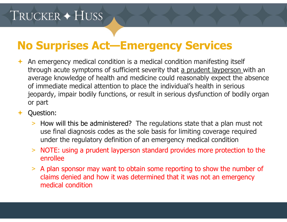#### **No Surprises Act—Emergency Services**

- An emergency medical condition is a medical condition manifesting itself through acute symptoms of sufficient severity that a prudent layperson with an average knowledge of health and medicine could reasonably expect the absence of immediate medical attention to place the individual's health in serious jeopardy, impair bodily functions, or result in serious dysfunction of bodily organ or part
- Question:
	- > How will this be administered? The regulations state that a plan must not use final diagnosis codes as the sole basis for limiting coverage required under the regulatory definition of an emergency medical condition
	- > NOTE: using a prudent layperson standard provides more protection to the enrollee
	- > A plan sponsor may want to obtain some reporting to show the number of claims denied and how it was determined that it was not an emergency medical condition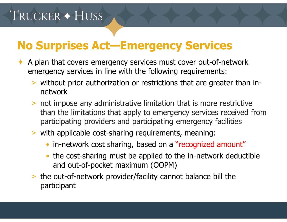#### **No Surprises Act—Emergency Services**

- A plan that covers emergency services must cover out-of-network emergency services in line with the following requirements:
	- > without prior authorization or restrictions that are greater than innetwork
	- > not impose any administrative limitation that is more restrictive than the limitations that apply to emergency services received from participating providers and participating emergency facilities
	- > with applicable cost-sharing requirements, meaning:
		- in-network cost sharing, based on a "recognized amount"
		- $\bullet$  the cost-sharing must be applied to the in-network deductible and out-of-pocket maximum (OOPM)
	- > the out-of-network provider/facility cannot balance bill the participant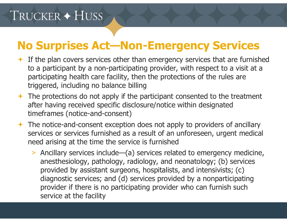#### **No Surprises Act—Non-Emergency Services**

- $\div$  If the plan covers services other than emergency services that are furnished to a participant by a non-participating provider, with respect to a visit at a participating health care facility, then the protections of the rules are triggered, including no balance billing
- $\rightarrow$  The protections do not apply if the participant consented to the treatment after having received specific disclosure/notice within designated timeframes (notice-and-consent)
- $\rightarrow$  The notice-and-consent exception does not apply to providers of ancillary services or services furnished as a result of an unforeseen, urgent medical need arising at the time the service is furnished
	- > Ancillary services include—(a) services related to emergency medicine, anesthesiology, pathology, radiology, and neonatology; (b) services provided by assistant surgeons, hospitalists, and intensivists; (c) diagnostic services; and (d) services provided by a nonparticipating provider if there is no participating provider who can furnish such service at the facility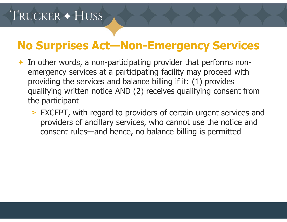#### **No Surprises Act—Non-Emergency Services**

- $\leftarrow$  In other words, a non-participating provider that performs nonemergency services at a participating facility may proceed with providing the services and balance billing if it: (1) provides qualifying written notice AND (2) receives qualifying consent from the participant
	- > EXCEPT, with regard to providers of certain urgent services and providers of ancillary services, who cannot use the notice and consent rules—and hence, no balance billing is permitted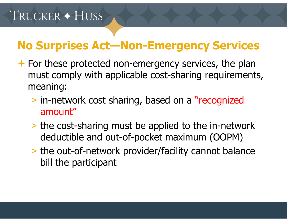## **No Surprises Act—Non-Emergency Services**

- **★ For these protected non-emergency services, the plan** must comply with applicable cost-sharing requirements, meaning:
	- > in-network cost sharing, based on a "recognized amount"
	- > the cost-sharing must be applied to the in-network deductible and out-of-pocket maximum (OOPM)
	- > the out-of-network provider/facility cannot balance bill the participant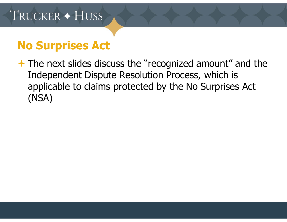#### **No Surprises Act**

**★ The next slides discuss the "recognized amount" and the** Independent Dispute Resolution Process, which is applicable to claims protected by the No Surprises Act (NSA)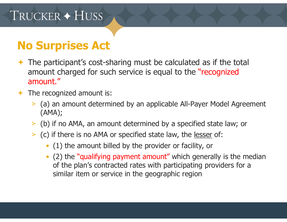- The participant's cost-sharing must be calculated as if the total amount charged for such service is equal to the "recognized amount."
- The recognized amount is:
	- > (a) an amount determined by an applicable All-Payer Model Agreement (AMA);
	- > (b) if no AMA, an amount determined by a specified state law; or
	- > (c) if there is no AMA or specified state law, the lesser of:
		- (1) the amount billed by the provider or facility, or
		- • (2) the "qualifying payment amount" which generally is the median of the plan's contracted rates with participating providers for a similar item or service in the geographic region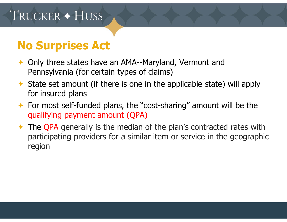- ◆ Only three states have an AMA--Maryland, Vermont and Pennsylvania (for certain types of claims)
- $\rightarrow$  State set amount (if there is one in the applicable state) will apply for insured plans
- For most self-funded plans, the "cost-sharing" amount will be the qualifying payment amount (QPA)
- **← The QPA generally is the median of the plan's contracted rates with** participating providers for a similar item or service in the geographic region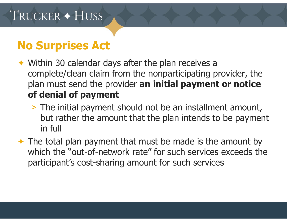- ◆ Within 30 calendar days after the plan receives a complete/clean claim from the nonparticipating provider, the plan must send the provider **an initial payment or notice of denial of payment**
	- > The initial payment should not be an installment amount, but rather the amount that the plan intends to be payment in full
- $\rightarrow$  The total plan payment that must be made is the amount by which the "out-of-network rate" for such services exceeds the participant's cost-sharing amount for such services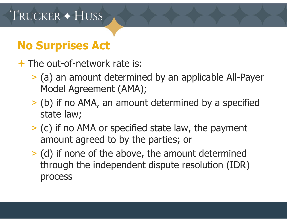### **No Surprises Act**

The out-of-network rate is:

- > (a) an amount determined by an applicable All-Payer Model Agreement (AMA);
- > (b) if no AMA, an amount determined by a specified state law;
- > (c) if no AMA or specified state law, the payment amount agreed to by the parties; or
- > (d) if none of the above, the amount determined through the independent dispute resolution (IDR) process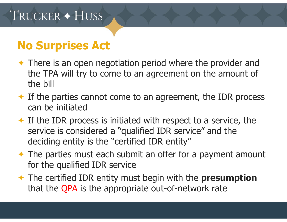- ◆ There is an open negotiation period where the provider and the TPA will try to come to an agreement on the amount of the bill
- $\div$  If the parties cannot come to an agreement, the IDR process can be initiated
- $\div$  If the IDR process is initiated with respect to a service, the service is considered a "qualified IDR service" and the deciding entity is the "certified IDR entity"
- $\rightarrow$  The parties must each submit an offer for a payment amount for the qualified IDR service
- The certified IDR entity must begin with the **presumption** that the QPA is the appropriate out-of-network rate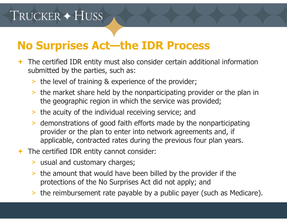#### **No Surprises Act—the IDR Process**

- The certified IDR entity must also consider certain additional information submitted by the parties, such as:
	- > the level of training & experience of the provider;
	- > the market share held by the nonparticipating provider or the plan in the geographic region in which the service was provided;
	- > the acuity of the individual receiving service; and
	- > demonstrations of good faith efforts made by the nonparticipating provider or the plan to enter into network agreements and, if applicable, contracted rates during the previous four plan years.
- The certified IDR entity cannot consider:
	- > usual and customary charges;
	- $\geq$  the amount that would have been billed by the provider if the protections of the No Surprises Act did not apply; and
	- > the reimbursement rate payable by a public payer (such as Medicare).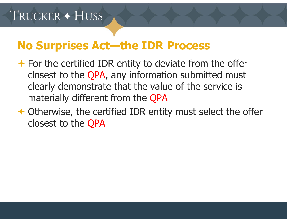#### **No Surprises Act—the IDR Process**

- $\rightarrow$  For the certified IDR entity to deviate from the offer closest to the QPA, any information submitted must clearly demonstrate that the value of the service is materially different from the QPA
- Otherwise, the certified IDR entity must select the offer closest to the QPA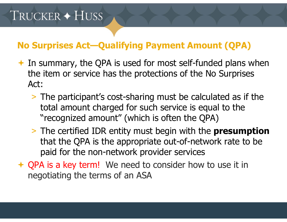#### **No Surprises Act—Qualifying Payment Amount (QPA)**

- $\rightarrow$  In summary, the QPA is used for most self-funded plans when the item or service has the protections of the No Surprises Act:
	- > The participant's cost-sharing must be calculated as if the total amount charged for such service is equal to the "recognized amount" (which is often the QPA)
	- > The certified IDR entity must begin with the **presumption** that the QPA is the appropriate out-of-network rate to be paid for the non-network provider services
- ← QPA is a key term! We need to consider how to use it in negotiating the terms of an ASA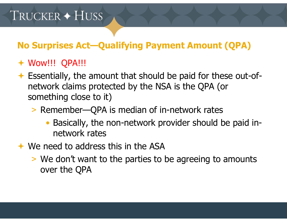#### **No Surprises Act—Qualifying Payment Amount (QPA)**

#### Wow!!! QPA!!!

- Essentially, the amount that should be paid for these out-ofnetwork claims protected by the NSA is the QPA (or something close to it)
	- > Remember—QPA is median of in-network rates
		- • Basically, the non-network provider should be paid innetwork rates
- **★ We need to address this in the ASA** 
	- > We don't want to the parties to be agreeing to amounts over the QPA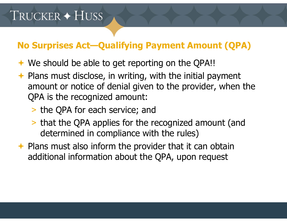#### **No Surprises Act—Qualifying Payment Amount (QPA)**

- ◆ We should be able to get reporting on the QPA!!
- $\rightarrow$  Plans must disclose, in writing, with the initial payment amount or notice of denial given to the provider, when the QPA is the recognized amount:
	- > the QPA for each service; and
	- > that the QPA applies for the recognized amount (and determined in compliance with the rules)
- $\rightarrow$  Plans must also inform the provider that it can obtain additional information about the QPA, upon request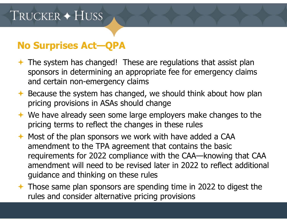#### **No Surprises Act—QPA**

- ◆ The system has changed! These are regulations that assist plan sponsors in determining an appropriate fee for emergency claims and certain non-emergency claims
- $\triangle$  Because the system has changed, we should think about how plan pricing provisions in ASAs should change
- $\rightarrow$  We have already seen some large employers make changes to the pricing terms to reflect the changes in these rules
- $\rightarrow$  Most of the plan sponsors we work with have added a CAA amendment to the TPA agreement that contains the basic requirements for 2022 compliance with the CAA—knowing that CAA amendment will need to be revised later in 2022 to reflect additional guidance and thinking on these rules
- Those same plan sponsors are spending time in 2022 to digest the rules and consider alternative pricing provisions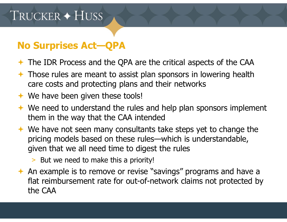#### **No Surprises Act—QPA**

- The IDR Process and the QPA are the critical aspects of the CAA
- $\rightarrow$  Those rules are meant to assist plan sponsors in lowering health care costs and protecting plans and their networks
- **← We have been given these tools!**
- $\rightarrow$  We need to understand the rules and help plan sponsors implement them in the way that the CAA intended
- ◆ We have not seen many consultants take steps yet to change the pricing models based on these rules—which is understandable, given that we all need time to digest the rules
	- > But we need to make this a priority!
- $\leftrightarrow$  An example is to remove or revise "savings" programs and have a flat reimbursement rate for out-of-network claims not protected by the CAA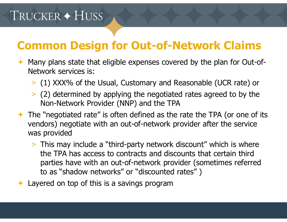### **Common Design for Out-of-Network Claims**

- Many plans state that eligible expenses covered by the plan for Out-of-Network services is:
	- > (1) XXX% of the Usual, Customary and Reasonable (UCR rate) or
	- > (2) determined by applying the negotiated rates agreed to by the Non-Network Provider (NNP) and the TPA
- $\rightarrow$  The "negotiated rate" is often defined as the rate the TPA (or one of its vendors) negotiate with an out-of-network provider after the service was provided
	- > This may include a "third-party network discount" which is where the TPA has access to contracts and discounts that certain third parties have with an out-of-network provider (sometimes referred to as "shadow networks" or "discounted rates" )
- $\bigstar$ Layered on top of this is a savings program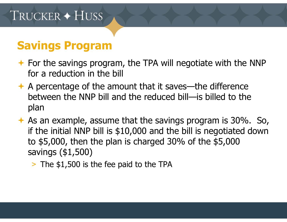- $\rightarrow$  For the savings program, the TPA will negotiate with the NNP for a reduction in the bill
- $\rightarrow$  A percentage of the amount that it saves—the difference between the NNP bill and the reduced bill—is billed to the plan
- $\rightarrow$  As an example, assume that the savings program is 30%. So, if the initial NNP bill is \$10,000 and the bill is negotiated down to \$5,000, then the plan is charged 30% of the \$5,000 savings (\$1,500)
	- > The \$1,500 is the fee paid to the TPA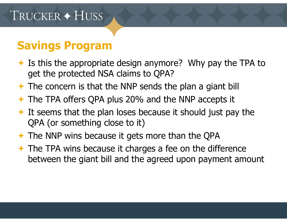- $\rightarrow$  Is this the appropriate design anymore? Why pay the TPA to get the protected NSA claims to QPA?
- $\rightarrow$  The concern is that the NNP sends the plan a giant bill
- ← The TPA offers QPA plus 20% and the NNP accepts it
- $\rightarrow$  It seems that the plan loses because it should just pay the QPA (or something close to it)
- **← The NNP wins because it gets more than the QPA**
- **★ The TPA wins because it charges a fee on the difference** between the giant bill and the agreed upon payment amount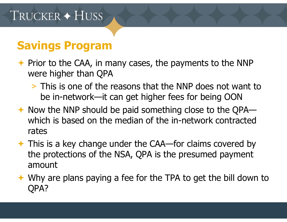- $\rightarrow$  Prior to the CAA, in many cases, the payments to the NNP were higher than QPA
	- > This is one of the reasons that the NNP does not want to be in-network—it can get higher fees for being OON
- ◆ Now the NNP should be paid something close to the QPA which is based on the median of the in-network contracted rates
- This is a key change under the CAA—for claims covered by the protections of the NSA, QPA is the presumed payment amount
- ◆ Why are plans paying a fee for the TPA to get the bill down to QPA?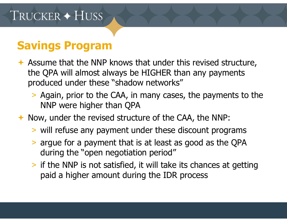- Assume that the NNP knows that under this revised structure, the QPA will almost always be HIGHER than any payments produced under these "shadow networks"
	- > Again, prior to the CAA, in many cases, the payments to the NNP were higher than QPA
- ◆ Now, under the revised structure of the CAA, the NNP:
	- > will refuse any payment under these discount programs
	- > argue for a payment that is at least as good as the QPA during the "open negotiation period"
	- > if the NNP is not satisfied, it will take its chances at getting paid a higher amount during the IDR process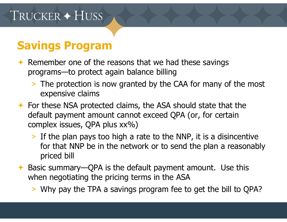- Remember one of the reasons that we had these savings programs—to protect again balance billing
	- > The protection is now granted by the CAA for many of the most expensive claims
- For these NSA protected claims, the ASA should state that the default payment amount cannot exceed QPA (or, for certain complex issues, QPA plus xx%)
	- > If the plan pays too high a rate to the NNP, it is a disincentive for that NNP be in the network or to send the plan a reasonably priced bill
- ◆ Basic summary—QPA is the default payment amount. Use this when negotiating the pricing terms in the ASA
	- > Why pay the TPA a savings program fee to get the bill to QPA?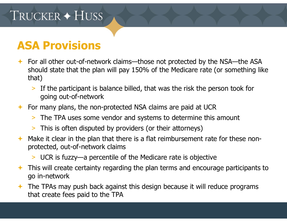#### **ASA Provisions**

- For all other out-of-network claims—those not protected by the NSA—the ASA should state that the plan will pay 150% of the Medicare rate (or something like that)
	- > If the participant is balance billed, that was the risk the person took for going out-of-network
- For many plans, the non-protected NSA claims are paid at UCR
	- > The TPA uses some vendor and systems to determine this amount
	- > This is often disputed by providers (or their attorneys)
- $\leftrightarrow$  Make it clear in the plan that there is a flat reimbursement rate for these nonprotected, out-of-network claims
	- > UCR is fuzzy—a percentile of the Medicare rate is objective
- This will create certainty regarding the plan terms and encourage participants to go in-network
- The TPAs may push back against this design because it will reduce programs that create fees paid to the TPA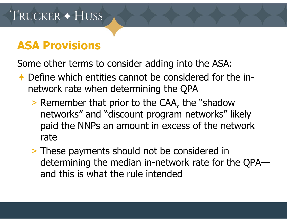#### **ASA Provisions**

Some other terms to consider adding into the ASA:

- ← Define which entities cannot be considered for the innetwork rate when determining the QPA
	- > Remember that prior to the CAA, the "shadow networks" and "discount program networks" likely paid the NNPs an amount in excess of the network rate
	- > These payments should not be considered in determining the median in-network rate for the QPA and this is what the rule intended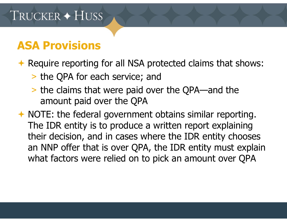#### **ASA Provisions**

Require reporting for all NSA protected claims that shows:

- > the QPA for each service; and
- > the claims that were paid over the QPA—and the amount paid over the QPA

 NOTE: the federal government obtains similar reporting. The IDR entity is to produce a written report explaining their decision, and in cases where the IDR entity chooses an NNP offer that is over QPA, the IDR entity must explain what factors were relied on to pick an amount over QPA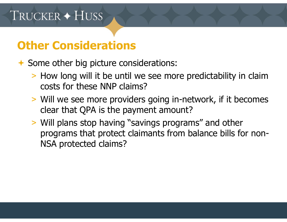### **Other Considerations**

◆ Some other big picture considerations:

- > How long will it be until we see more predictability in claim costs for these NNP claims?
- > Will we see more providers going in-network, if it becomes clear that QPA is the payment amount?
- > Will plans stop having "savings programs" and other programs that protect claimants from balance bills for non-NSA protected claims?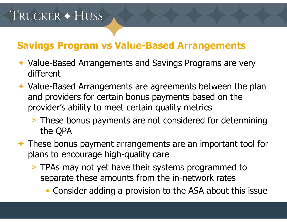#### **Savings Program vs Value-Based Arrangements**

- **★ Value-Based Arrangements and Savings Programs are very** different
- ◆ Value-Based Arrangements are agreements between the plan and providers for certain bonus payments based on the provider's ability to meet certain quality metrics
	- > These bonus payments are not considered for determining the QPA
- ◆ These bonus payment arrangements are an important tool for plans to encourage high-quality care
	- > TPAs may not yet have their systems programmed to separate these amounts from the in-network rates
		- Consider adding a provision to the ASA about this issue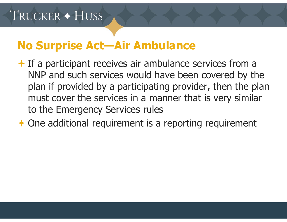#### **No Surprise Act—Air Ambulance**

- $\rightarrow$  If a participant receives air ambulance services from a NNP and such services would have been covered by the plan if provided by a participating provider, then the plan must cover the services in a manner that is very similar to the Emergency Services rules
- One additional requirement is a reporting requirement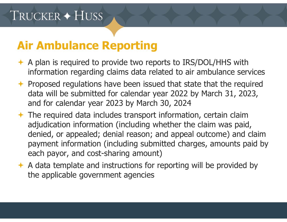#### **Air Ambulance Reporting**

- ← A plan is required to provide two reports to IRS/DOL/HHS with information regarding claims data related to air ambulance services
- $\rightarrow$  Proposed regulations have been issued that state that the required data will be submitted for calendar year 2022 by March 31, 2023, and for calendar year 2023 by March 30, 2024
- The required data includes transport information, certain claim adjudication information (including whether the claim was paid, denied, or appealed; denial reason; and appeal outcome) and claim payment information (including submitted charges, amounts paid by each payor, and cost-sharing amount)
- $\rightarrow$  A data template and instructions for reporting will be provided by the applicable government agencies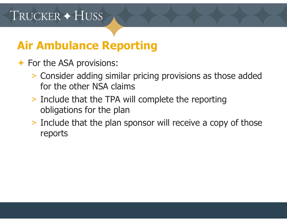## **Air Ambulance Reporting**

#### **← For the ASA provisions:**

- > Consider adding similar pricing provisions as those added for the other NSA claims
- > Include that the TPA will complete the reporting obligations for the plan
- > Include that the plan sponsor will receive a copy of those reports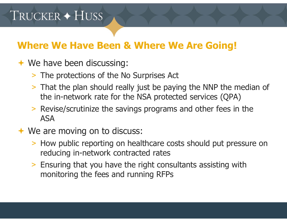#### **Where We Have Been & Where We Are Going!**

- **← We have been discussing:** 
	- > The protections of the No Surprises Act
	- > That the plan should really just be paying the NNP the median of the in-network rate for the NSA protected services (QPA)
	- > Revise/scrutinize the savings programs and other fees in the ASA
- ◆ We are moving on to discuss:
	- > How public reporting on healthcare costs should put pressure on reducing in-network contracted rates
	- > Ensuring that you have the right consultants assisting with monitoring the fees and running RFPs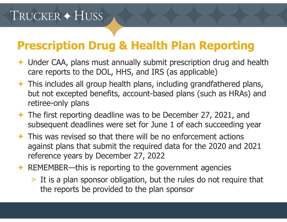## **Prescription Drug & Health Plan Reporting**

- Under CAA, plans must annually submit prescription drug and health care reports to the DOL, HHS, and IRS (as applicable)
- $\rightarrow$  This includes all group health plans, including grandfathered plans, but not excepted benefits, account-based plans (such as HRAs) and retiree-only plans
- The first reporting deadline was to be December 27, 2021, and subsequent deadlines were set for June 1 of each succeeding yea r
- $\rightarrow$  This was revised so that there will be no enforcement actions against plans that submit the required data for the 2020 and 2021 reference years by December 27, 2022
- REMEMBER—this is reporting to the government agencies
	- > It is a plan sponsor obligation, but the rules do not require that the reports be provided to the plan sponsor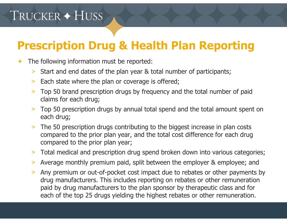# **Prescription Drug & Health Plan Reporting**

- $\bigstar$  The following information must be reported:
	- >Start and end dates of the plan year & total number of participants;
	- >Each state where the plan or coverage is offered;
	- > Top 50 brand prescription drugs by frequency and the total number of paid claims for each drug;
	- > Top 50 prescription drugs by annual total spend and the total amount spent on each drug;
	- > The 50 prescription drugs contributing to the biggest increase in plan costs compared to the prior plan year, and the total cost difference for each drug compared to the prior plan year;
	- >Total medical and prescription drug spend broken down into various categories;
	- $\geq$ Average monthly premium paid, split between the employer & employee; and
	- > Any premium or out-of-pocket cost impact due to rebates or other payments by drug manufacturers. This includes reporting on rebates or other remuneration paid by drug manufacturers to the plan sponsor by therapeutic class and for each of the top 25 drugs yielding the highest rebates or other remuneration.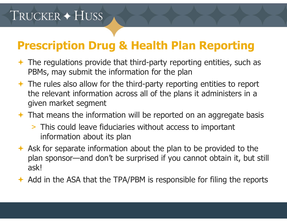## **Prescription Drug & Health Plan Reporting**

- $\rightarrow$  The regulations provide that third-party reporting entities, such as PBMs, may submit the information for the plan
- $\rightarrow$  The rules also allow for the third-party reporting entities to report the relevant information across all of the plans it administers in a given market segment
- That means the information will be reported on an aggregate basis
	- > This could leave fiduciaries without access to important information about its plan
- $\leftrightarrow$  Ask for separate information about the plan to be provided to the plan sponsor—and don't be surprised if you cannot obtain it, but still ask!
- $\leftrightarrow$  Add in the ASA that the TPA/PBM is responsible for filing the reports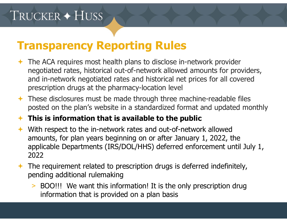#### **Transparency Reporting Rules**

- The ACA requires most health plans to disclose in-network provider negotiated rates, historical out-of-network allowed amounts for providers, and in-network negotiated rates and historical net prices for all covered prescription drugs at the pharmacy-location level
- $\rightarrow$  These disclosures must be made through three machine-readable files posted on the plan's website in a standardized format and updated monthly

#### **This is information that is available to the public**

- With respect to the in-network rates and out-of-network allowed amounts, for plan years beginning on or after January 1, 2022, the applicable Departments (IRS/DOL/HHS) deferred enforcement until July 1, 2022
- $\rightarrow$  The requirement related to prescription drugs is deferred indefinitely, pending additional rulemaking
	- > BOO!!! We want this information! It is the only prescription drug information that is provided on a plan basis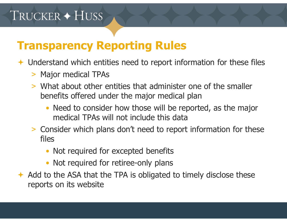#### **Transparency Reporting Rules**

 $\rightarrow$  Understand which entities need to report information for these files

- > Major medical TPAs
- > What about other entities that administer one of the smaller benefits offered under the major medical plan
	- Need to consider how those will be reported, as the major medical TPAs will not include this data
- > Consider which plans don't need to report information for these files
	- Not required for excepted benefits
	- Not required for retiree-only plans
- $\leftrightarrow$  Add to the ASA that the TPA is obligated to timely disclose these reports on its website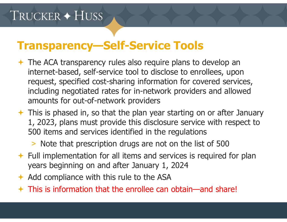#### **Transparency—Self-Service Tools**

- The ACA transparency rules also require plans to develop an internet-based, self-service tool to disclose to enrollees, upon request, specified cost-sharing information for covered services, including negotiated rates for in-network providers and allowed amounts for out-of-network providers
- $\rightarrow$  This is phased in, so that the plan year starting on or after January 1, 2023, plans must provide this disclosure service with respect to 500 items and services identified in the regulations
	- > Note that prescription drugs are not on the list of 500
- $\div$  Full implementation for all items and services is required for plan years beginning on and after January 1, 2024
- $\leftrightarrow$  Add compliance with this rule to the ASA
- This is information that the enrollee can obtain—and share!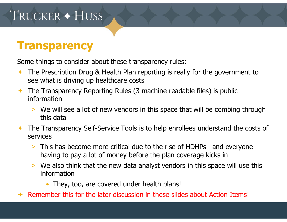#### **Transparency**

Some things to consider about these transparency rules:

- The Prescription Drug & Health Plan reporting is really for the government to see what is driving up healthcare costs
- The Transparency Reporting Rules (3 machine readable files) is public information
	- > We will see a lot of new vendors in this space that will be combing through this data
- $\bigstar$  The Transparency Self-Service Tools is to help enrollees understand the costs of services
	- > This has become more critical due to the rise of HDHPs—and everyone having to pay a lot of money before the plan coverage kicks in
	- > We also think that the new data analyst vendors in this space will use this information
		- They, too, are covered under health plans!
- $\blacklozenge$ Remember this for the later discussion in these slides about Action Items!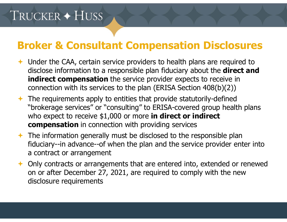- Under the CAA, certain service providers to health plans are required to disclose information to a responsible plan fiduciary about the **direct and indirect compensation** the service provider expects to receive in connection with its services to the plan (ERISA Section 408(b)(2))
- $\rightarrow$  The requirements apply to entities that provide statutorily-defined "brokerage services" or "consulting" to ERISA-covered group health plans who expect to receive \$1,000 or more **in direct or indirect compensation** in connection with providing services
- $\rightarrow$  The information generally must be disclosed to the responsible plan fiduciary--in advance--of when the plan and the service provider enter into a contract or arrangement
- ◆ Only contracts or arrangements that are entered into, extended or renewed on or after December 27, 2021, are required to comply with the new disclosure requirements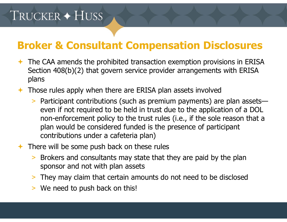- $\rightarrow$  The CAA amends the prohibited transaction exemption provisions in ERISA Section 408(b)(2) that govern service provider arrangements with ERISA plans
- **★ Those rules apply when there are ERISA plan assets involved** 
	- > Participant contributions (such as premium payments) are plan assets even if not required to be held in trust due to the application of a DOL non-enforcement policy to the trust rules (i.e., if the sole reason that a plan would be considered funded is the presence of participant contributions under a cafeteria plan)
- $\rightarrow$  There will be some push back on these rules
	- > Brokers and consultants may state that they are paid by the plan sponsor and not with plan assets
	- > They may claim that certain amounts do not need to be disclosed
	- > We need to push back on this!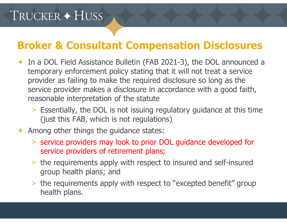- In a DOL Field Assistance Bulletin (FAB 2021-3), the DOL announced a temporary enforcement policy stating that it will not treat a service provider as failing to make the required disclosure so long as the service provider makes a disclosure in accordance with a good faith, reasonable interpretation of the statute
	- > Essentially, the DOL is not issuing regulatory guidance at this time (just this FAB, which is not regulations)
- $\rightarrow$  Among other things the guidance states:
	- > service providers may look to prior DOL guidance developed for service providers of retirement plans;
	- > the requirements apply with respect to insured and self-insured group health plans; and
	- > the requirements apply with respect to "excepted benefit" group health plans.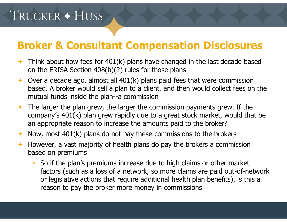- $\rightarrow$  Think about how fees for 401(k) plans have changed in the last decade based on the ERISA Section 408(b)(2) rules for those plans
- $\rightarrow$  Over a decade ago, almost all 401(k) plans paid fees that were commission based. A broker would sell a plan to a client, and then would collect fees on the mutual funds inside the plan--a commission
- $\rightarrow$  The larger the plan grew, the larger the commission payments grew. If the company's 401(k) plan grew rapidly due to a great stock market, would that be an appropriate reason to increase the amounts paid to the broker?
- Now, most  $401(k)$  plans do not pay these commissions to the brokers
- $\bigstar$  However, a vast majority of health plans do pay the brokers a commission based on premiums
	- > So if the plan's premiums increase due to high claims or other market factors (such as a loss of a network, so more claims are paid out-of-network or legislative actions that require additional health plan benefits), is this a reason to pay the broker more money in commissions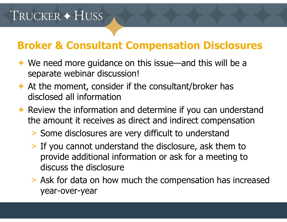- ◆ We need more guidance on this issue—and this will be a separate webinar discussion!
- $\rightarrow$  At the moment, consider if the consultant/broker has disclosed all information
- $\rightarrow$  Review the information and determine if you can understand the amount it receives as direct and indirect compensation
	- > Some disclosures are very difficult to understand
	- > If you cannot understand the disclosure, ask them to provide additional information or ask for a meeting to discuss the disclosure
	- > Ask for data on how much the compensation has increased year-over-year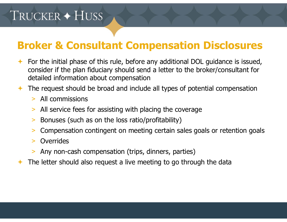- For the initial phase of this rule, before any additional DOL guidance is issued, consider if the plan fiduciary should send a letter to the broker/consultant for detailed information about compensation
- The request should be broad and include all types of potential compensation
	- > All commissions
	- >All service fees for assisting with placing the coverage
	- >Bonuses (such as on the loss ratio/profitability)
	- >Compensation contingent on meeting certain sales goals or retention goals
	- $\geq$ **Overrides**
	- >Any non-cash compensation (trips, dinners, parties)
- $\bigstar$ The letter should also request a live meeting to go through the data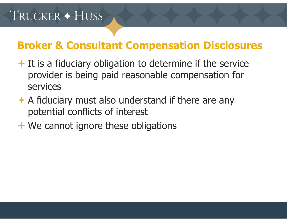- $\rightarrow$  It is a fiduciary obligation to determine if the service provider is being paid reasonable compensation for services
- $\rightarrow$  A fiduciary must also understand if there are any potential conflicts of interest
- **← We cannot ignore these obligations**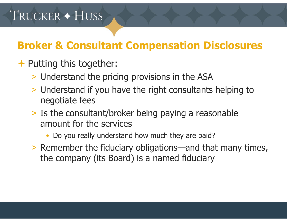- Putting this together:
	- > Understand the pricing provisions in the ASA
	- > Understand if you have the right consultants helping to negotiate fees
	- > Is the consultant/broker being paying a reasonable amount for the services
		- •Do you really understand how much they are paid?
	- > Remember the fiduciary obligations—and that many times, the company (its Board) is a named fiduciary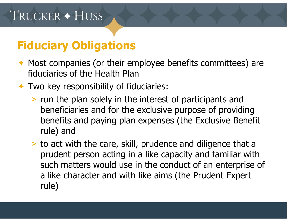## **Fiduciary Obligations**

- ◆ Most companies (or their employee benefits committees) are fiduciaries of the Health Plan
- Two key responsibility of fiduciaries:
	- > run the plan solely in the interest of participants and beneficiaries and for the exclusive purpose of providing benefits and paying plan expenses (the Exclusive Benefit rule) and
	- > to act with the care, skill, prudence and diligence that a prudent person acting in a like capacity and familiar with such matters would use in the conduct of an enterprise of a like character and with like aims (the Prudent Expert rule)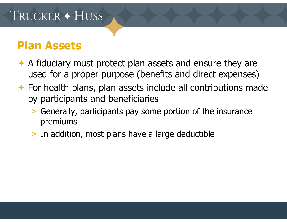#### **Plan Assets**

- ◆ A fiduciary must protect plan assets and ensure they are used for a proper purpose (benefits and direct expenses)
- $\rightarrow$  For health plans, plan assets include all contributions made by participants and beneficiaries
	- > Generally, participants pay some portion of the insurance premiums
	- > In addition, most plans have a large deductible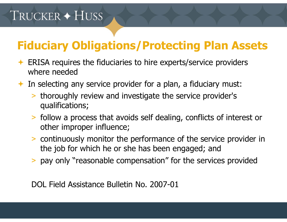# **Fiduciary Obligations/Protecting Plan Assets**

- **ERISA requires the fiduciaries to hire experts/service providers** where needed
- In selecting any service provider for a plan, a fiduciary must:
	- > thoroughly review and investigate the service provider's qualifications;
	- > follow a process that avoids self dealing, conflicts of interest or other improper influence;
	- > continuously monitor the performance of the service provider in the job for which he or she has been engaged; and
	- > pay only "reasonable compensation" for the services provided

DOL Field Assistance Bulletin No. 2007-01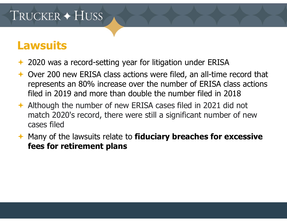#### **Lawsuits**

- ← 2020 was a record-setting year for litigation under ERISA
- ← Over 200 new ERISA class actions were filed, an all-time record that represents an 80% increase over the number of ERISA class actions filed in 2019 and more than double the number filed in 2018
- ◆ Although the number of new ERISA cases filed in 2021 did not match 2020's record, there were still a significant number of new cases filed
- Many of the lawsuits relate to **fiduciary breaches for excessive fees for retirement plans**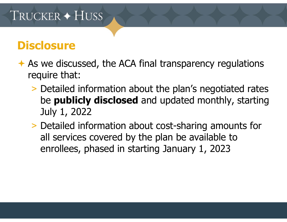#### **Disclosure**

- $\rightarrow$  As we discussed, the ACA final transparency regulations require that:
	- > Detailed information about the plan's negotiated rates be **publicly disclosed** and updated monthly, starting July 1, 2022
	- > Detailed information about cost-sharing amounts for all services covered by the plan be available to enrollees, phased in starting January 1, 2023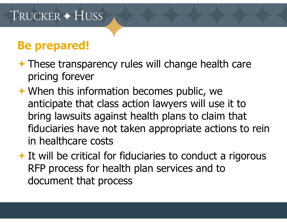#### **Be prepared!**

- $\rightarrow$  These transparency rules will change health care pricing forever
- When this information becomes public, we anticipate that class action lawyers will use it to bring lawsuits against health plans to claim that fiduciaries have not taken appropriate actions to rein in healthcare costs
- $\rightarrow$  It will be critical for fiduciaries to conduct a rigorous RFP process for health plan services and to document that process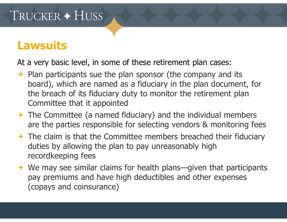#### **Lawsuits**

At a very basic level, in some of these retirement plan cases:

- $\rightarrow$  Plan participants sue the plan sponsor (the company and its board), which are named as a fiduciary in the plan document, for the breach of its fiduciary duty to monitor the retirement plan Committee that it appointed
- $\rightarrow$  The Committee (a named fiduciary) and the individual members are the parties responsible for selecting vendors & monitoring fees
- $\rightarrow$  The claim is that the Committee members breached their fiduciary duties by allowing the plan to pay unreasonably high recordkeeping fees
- $\rightarrow$  We may see similar claims for health plans—given that participants pay premiums and have high deductibles and other expenses (copays and coinsurance)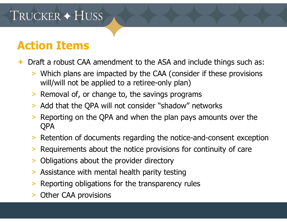#### **Action Items**

 $\bigstar$ Draft a robust CAA amendment to the ASA and include things such as:

- > Which plans are impacted by the CAA (consider if these provisions will/will not be applied to a retiree-only plan)
- > Removal of, or change to, the savings programs
- > Add that the QPA will not consider "shadow" networks
- $>$  Reporting on the QPA and when the plan pays amounts over the QPA
- > Retention of documents regarding the notice-and-consent exception
- > Requirements about the notice provisions for continuity of care
- > Obligations about the provider directory
- > Assistance with mental health parity testing
- > Reporting obligations for the transparency rules
- >Other CAA provisions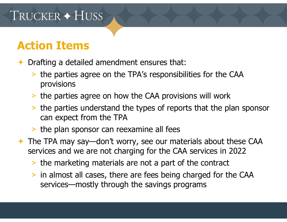#### **Action Items**

- $\bigstar$  Drafting a detailed amendment ensures that:
	- > the parties agree on the TPA's responsibilities for the CAA provisions
	- > the parties agree on how the CAA provisions will work
	- > the parties understand the types of reports that the plan sponsor can expect from the TPA
	- > the plan sponsor can reexamine all fees
- The TPA may say—don't worry, see our materials about these CAA services and we are not charging for the CAA services in 2022
	- > the marketing materials are not a part of the contract
	- > in almost all cases, there are fees being charged for the CAA services—mostly through the savings programs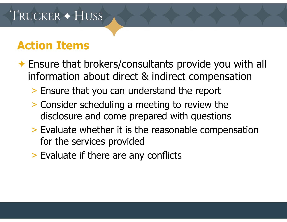#### **Action Items**

- Ensure that brokers/consultants provide you with all information about direct & indirect compensation
	- > Ensure that you can understand the report
	- > Consider scheduling a meeting to review the disclosure and come prepared with questions
	- > Evaluate whether it is the reasonable compensation for the services provided
	- > Evaluate if there are any conflicts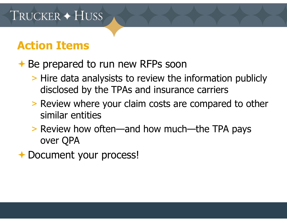#### **Action Items**

#### **← Be prepared to run new RFPs soon**

- > Hire data analysists to review the information publicly disclosed by the TPAs and insurance carriers
- > Review where your claim costs are compared to other similar entities
- > Review how often—and how much—the TPA pays over QPA
- **← Document your process!**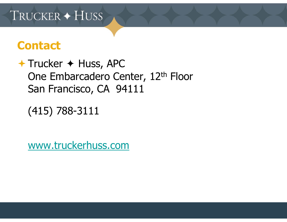#### **Contact**

 $+$  Trucker  $+$  Huss, APC One Embarcadero Center, 12<sup>th</sup> Floor San Francisco, CA 94111

(415) 788-3111

www.truckerhuss.com